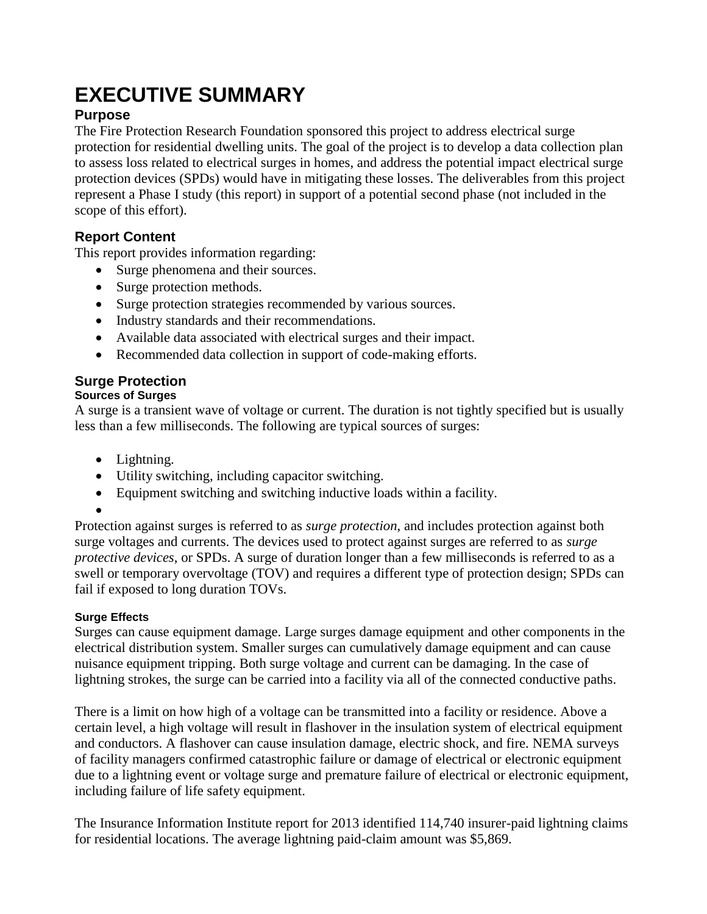# **EXECUTIVE SUMMARY**

# **Purpose**

The Fire Protection Research Foundation sponsored this project to address electrical surge protection for residential dwelling units. The goal of the project is to develop a data collection plan to assess loss related to electrical surges in homes, and address the potential impact electrical surge protection devices (SPDs) would have in mitigating these losses. The deliverables from this project represent a Phase I study (this report) in support of a potential second phase (not included in the scope of this effort).

# **Report Content**

This report provides information regarding:

- Surge phenomena and their sources.
- Surge protection methods.
- Surge protection strategies recommended by various sources.
- Industry standards and their recommendations.
- Available data associated with electrical surges and their impact.
- Recommended data collection in support of code-making efforts.

# **Surge Protection**

## **Sources of Surges**

A surge is a transient wave of voltage or current. The duration is not tightly specified but is usually less than a few milliseconds. The following are typical sources of surges:

- Lightning.
- Utility switching, including capacitor switching.
- Equipment switching and switching inductive loads within a facility.
- $\bullet$

Protection against surges is referred to as *surge protection*, and includes protection against both surge voltages and currents. The devices used to protect against surges are referred to as *surge protective devices*, or SPDs. A surge of duration longer than a few milliseconds is referred to as a swell or temporary overvoltage (TOV) and requires a different type of protection design; SPDs can fail if exposed to long duration TOVs.

## **Surge Effects**

Surges can cause equipment damage. Large surges damage equipment and other components in the electrical distribution system. Smaller surges can cumulatively damage equipment and can cause nuisance equipment tripping. Both surge voltage and current can be damaging. In the case of lightning strokes, the surge can be carried into a facility via all of the connected conductive paths.

There is a limit on how high of a voltage can be transmitted into a facility or residence. Above a certain level, a high voltage will result in flashover in the insulation system of electrical equipment and conductors. A flashover can cause insulation damage, electric shock, and fire. NEMA surveys of facility managers confirmed catastrophic failure or damage of electrical or electronic equipment due to a lightning event or voltage surge and premature failure of electrical or electronic equipment, including failure of life safety equipment.

The Insurance Information Institute report for 2013 identified 114,740 insurer-paid lightning claims for residential locations. The average lightning paid-claim amount was \$5,869.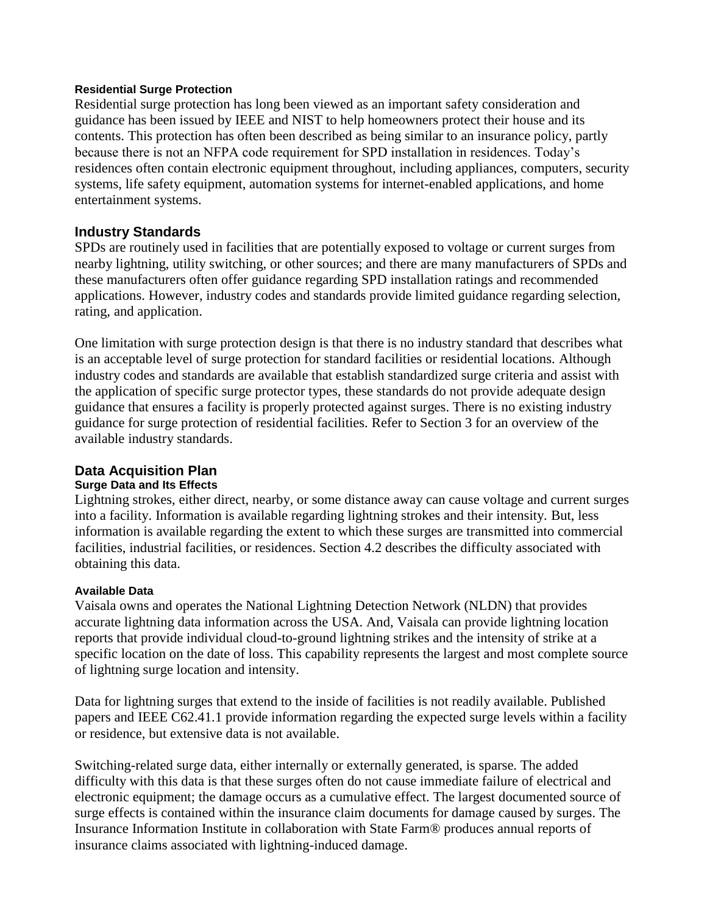#### **Residential Surge Protection**

Residential surge protection has long been viewed as an important safety consideration and guidance has been issued by IEEE and NIST to help homeowners protect their house and its contents. This protection has often been described as being similar to an insurance policy, partly because there is not an NFPA code requirement for SPD installation in residences. Today's residences often contain electronic equipment throughout, including appliances, computers, security systems, life safety equipment, automation systems for internet-enabled applications, and home entertainment systems.

## **Industry Standards**

SPDs are routinely used in facilities that are potentially exposed to voltage or current surges from nearby lightning, utility switching, or other sources; and there are many manufacturers of SPDs and these manufacturers often offer guidance regarding SPD installation ratings and recommended applications. However, industry codes and standards provide limited guidance regarding selection, rating, and application.

One limitation with surge protection design is that there is no industry standard that describes what is an acceptable level of surge protection for standard facilities or residential locations. Although industry codes and standards are available that establish standardized surge criteria and assist with the application of specific surge protector types, these standards do not provide adequate design guidance that ensures a facility is properly protected against surges. There is no existing industry guidance for surge protection of residential facilities. Refer to Section 3 for an overview of the available industry standards.

## **Data Acquisition Plan**

#### **Surge Data and Its Effects**

Lightning strokes, either direct, nearby, or some distance away can cause voltage and current surges into a facility. Information is available regarding lightning strokes and their intensity. But, less information is available regarding the extent to which these surges are transmitted into commercial facilities, industrial facilities, or residences. Section 4.2 describes the difficulty associated with obtaining this data.

#### **Available Data**

Vaisala owns and operates the National Lightning Detection Network (NLDN) that provides accurate lightning data information across the USA. And, Vaisala can provide lightning location reports that provide individual cloud-to-ground lightning strikes and the intensity of strike at a specific location on the date of loss. This capability represents the largest and most complete source of lightning surge location and intensity.

Data for lightning surges that extend to the inside of facilities is not readily available. Published papers and IEEE C62.41.1 provide information regarding the expected surge levels within a facility or residence, but extensive data is not available.

Switching-related surge data, either internally or externally generated, is sparse. The added difficulty with this data is that these surges often do not cause immediate failure of electrical and electronic equipment; the damage occurs as a cumulative effect. The largest documented source of surge effects is contained within the insurance claim documents for damage caused by surges. The Insurance Information Institute in collaboration with State Farm® produces annual reports of insurance claims associated with lightning-induced damage.